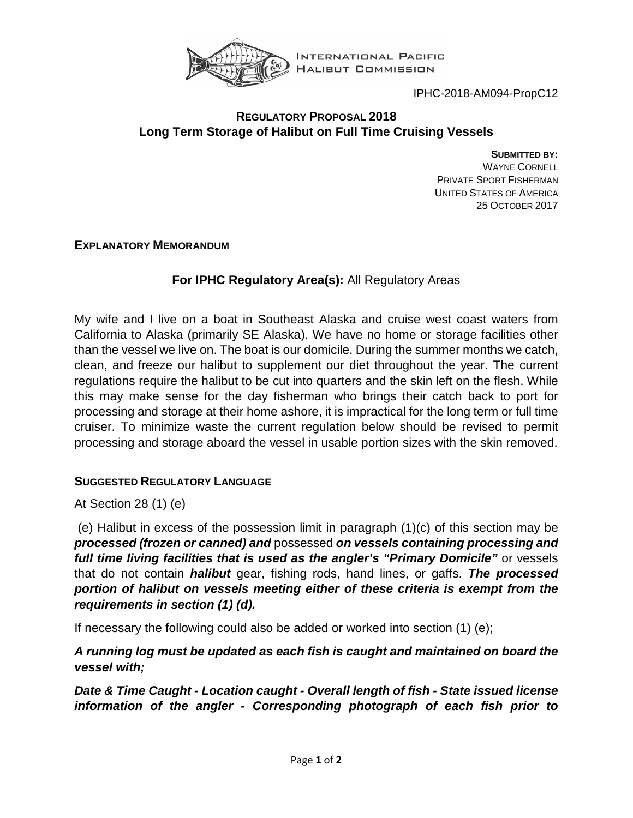

IPHC-2018-AM094-PropC12

### **REGULATORY PROPOSAL 2018 Long Term Storage of Halibut on Full Time Cruising Vessels**

**SUBMITTED BY:** WAYNE CORNELL PRIVATE SPORT FISHERMAN UNITED STATES OF AMERICA 25 OCTOBER 2017

**EXPLANATORY MEMORANDUM**

# **For IPHC Regulatory Area(s):** All Regulatory Areas

My wife and I live on a boat in Southeast Alaska and cruise west coast waters from California to Alaska (primarily SE Alaska). We have no home or storage facilities other than the vessel we live on. The boat is our domicile. During the summer months we catch, clean, and freeze our halibut to supplement our diet throughout the year. The current regulations require the halibut to be cut into quarters and the skin left on the flesh. While this may make sense for the day fisherman who brings their catch back to port for processing and storage at their home ashore, it is impractical for the long term or full time cruiser. To minimize waste the current regulation below should be revised to permit processing and storage aboard the vessel in usable portion sizes with the skin removed.

## **SUGGESTED REGULATORY LANGUAGE**

At Section 28 (1) (e)

(e) Halibut in excess of the possession limit in paragraph (1)(c) of this section may be *processed (frozen or canned) and* possessed *on vessels containing processing and full time living facilities that is used as the angler's "Primary Domicile"* or vessels that do not contain *halibut* gear, fishing rods, hand lines, or gaffs. *The processed portion of halibut on vessels meeting either of these criteria is exempt from the requirements in section (1) (d).*

If necessary the following could also be added or worked into section (1) (e);

*A running log must be updated as each fish is caught and maintained on board the vessel with;*

*Date & Time Caught - Location caught - Overall length of fish - State issued license information of the angler - Corresponding photograph of each fish prior to*